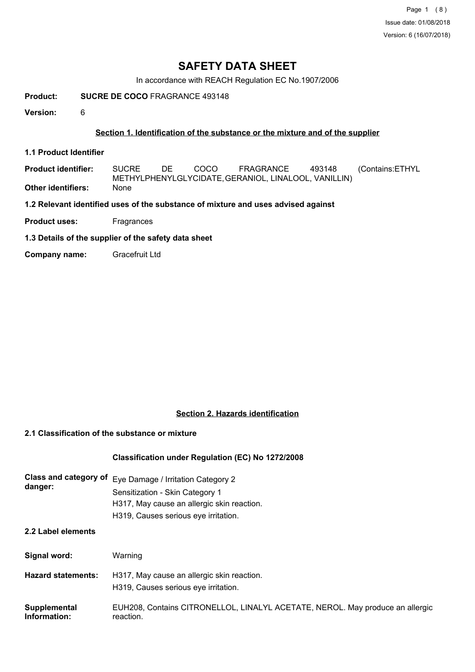Page 1 (8) Issue date: 01/08/2018 Version: 6 (16/07/2018)

# **SAFETY DATA SHEET**

In accordance with REACH Regulation EC No.1907/2006

**Product: SUCRE DE COCO** FRAGRANCE 493148

**Version:** 6

### **Section 1. Identification of the substance or the mixture and of the supplier**

**1.1 Product Identifier**

**Product identifier:** SUCRE DE COCO FRAGRANCE 493148 (Contains:ETHYL METHYLPHENYLGLYCIDATE,GERANIOL, LINALOOL, VANILLIN) **Other identifiers:** None

**1.2 Relevant identified uses of the substance of mixture and uses advised against**

**Product uses:** Fragrances

**1.3 Details of the supplier of the safety data sheet**

**Company name:** Gracefruit Ltd

### **Section 2. Hazards identification**

### **2.1 Classification of the substance or mixture**

### **Classification under Regulation (EC) No 1272/2008**

| <b>Class and category of</b><br>danger: | Eye Damage / Irritation Category 2<br>Sensitization - Skin Category 1<br>H317, May cause an allergic skin reaction.<br>H319, Causes serious eye irritation. |
|-----------------------------------------|-------------------------------------------------------------------------------------------------------------------------------------------------------------|
| 2.2 Label elements                      |                                                                                                                                                             |
| Signal word:                            | Warning                                                                                                                                                     |
| <b>Hazard statements:</b>               | H317, May cause an allergic skin reaction.<br>H319, Causes serious eye irritation.                                                                          |

| Supplemental | EUH208, Contains CITRONELLOL, LINALYL ACETATE, NEROL. May produce an allergic |
|--------------|-------------------------------------------------------------------------------|
| Information: | reaction.                                                                     |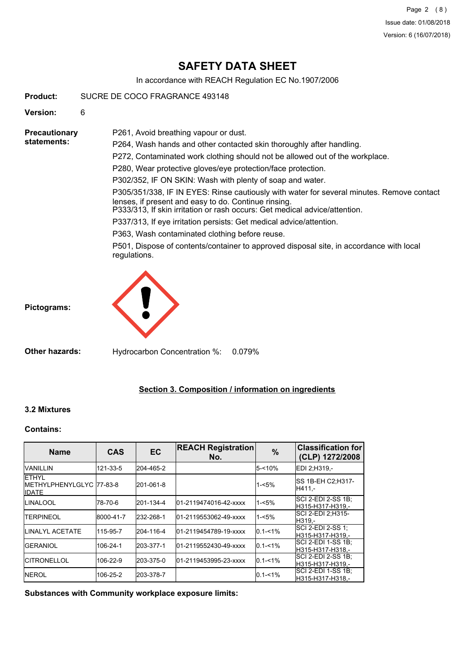Page 2 (8) Issue date: 01/08/2018 Version: 6 (16/07/2018)

# **SAFETY DATA SHEET**

In accordance with REACH Regulation EC No.1907/2006

| <b>Product:</b>                     | SUCRE DE COCO FRAGRANCE 493148                                                                                                                                                                                                                                                                                                                                                                                                                                                                                                                                                                                                                                                                                                                                                                    |
|-------------------------------------|---------------------------------------------------------------------------------------------------------------------------------------------------------------------------------------------------------------------------------------------------------------------------------------------------------------------------------------------------------------------------------------------------------------------------------------------------------------------------------------------------------------------------------------------------------------------------------------------------------------------------------------------------------------------------------------------------------------------------------------------------------------------------------------------------|
| <b>Version:</b>                     | 6                                                                                                                                                                                                                                                                                                                                                                                                                                                                                                                                                                                                                                                                                                                                                                                                 |
| <b>Precautionary</b><br>statements: | P261, Avoid breathing vapour or dust.<br>P264, Wash hands and other contacted skin thoroughly after handling.<br>P272, Contaminated work clothing should not be allowed out of the workplace.<br>P280, Wear protective gloves/eye protection/face protection.<br>P302/352, IF ON SKIN: Wash with plenty of soap and water.<br>P305/351/338, IF IN EYES: Rinse cautiously with water for several minutes. Remove contact<br>lenses, if present and easy to do. Continue rinsing.<br>P333/313, If skin irritation or rash occurs: Get medical advice/attention.<br>P337/313, If eye irritation persists: Get medical advice/attention.<br>P363, Wash contaminated clothing before reuse.<br>P501, Dispose of contents/container to approved disposal site, in accordance with local<br>regulations. |
| Pictograms:                         |                                                                                                                                                                                                                                                                                                                                                                                                                                                                                                                                                                                                                                                                                                                                                                                                   |

**Section 3. Composition / information on ingredients**

### **Contains:**

**3.2 Mixtures**

| <b>Name</b>                                                | <b>CAS</b> | <b>EC</b> | <b>REACH Registration</b><br>No. | $\frac{9}{6}$ | <b>Classification for</b><br>(CLP) 1272/2008 |
|------------------------------------------------------------|------------|-----------|----------------------------------|---------------|----------------------------------------------|
| <b>VANILLIN</b>                                            | 121-33-5   | 204-465-2 |                                  | $5 - 10%$     | EDI 2:H319,-                                 |
| <b>ETHYL</b><br>IMETHYLPHENYLGLYC 77-83-8<br><b>IIDATE</b> |            | 201-061-8 |                                  | $1 - 5%$      | SS 1B-EH C2:H317-<br>H411,-                  |
| ILINALOOL                                                  | 78-70-6    | 201-134-4 | 01-2119474016-42-xxxx            | $1 - 5%$      | SCI 2-EDI 2-SS 1B;<br>H315-H317-H319.-       |
| <b>TERPINEOL</b>                                           | 8000-41-7  | 232-268-1 | 01-2119553062-49-xxxx            | $1 - 5%$      | SCI 2-EDI 2:H315-<br>IH319.-                 |
| <b>ILINALYL ACETATE</b>                                    | 115-95-7   | 204-116-4 | 01-2119454789-19-xxxx            | $0.1 - 1\%$   | SCI 2-EDI 2-SS 1;<br>H315-H317-H319.-        |
| <b>IGERANIOL</b>                                           | 106-24-1   | 203-377-1 | 01-2119552430-49-xxxx            | $0.1 - 1\%$   | ISCI 2-EDI 1-SS 1B:<br>H315-H317-H318.-      |
| <b>ICITRONELLOL</b>                                        | 106-22-9   | 203-375-0 | 01-2119453995-23-xxxx            | $0.1 - 1\%$   | SCI 2-EDI 2-SS 1B:<br>H315-H317-H319.-       |
| <b>INEROL</b>                                              | 106-25-2   | 203-378-7 |                                  | $0.1 - 1\%$   | SCI 2-EDI 1-SS 1B;<br>lH315-H317-H318.-      |

**Substances with Community workplace exposure limits:**

**Other hazards:** Hydrocarbon Concentration %: 0.079%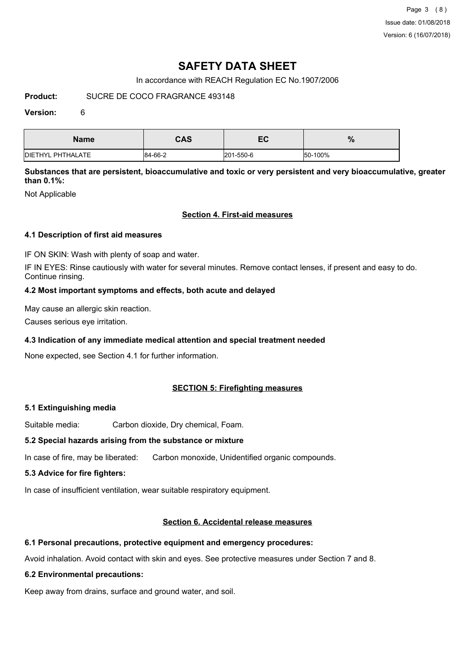Page 3 (8) Issue date: 01/08/2018 Version: 6 (16/07/2018)

# **SAFETY DATA SHEET**

In accordance with REACH Regulation EC No.1907/2006

### **Product:** SUCRE DE COCO FRAGRANCE 493148

### **Version:** 6

| <b>Name</b>               | <b>CAS</b> | $ \sim$<br>EV | 07<br>70 |
|---------------------------|------------|---------------|----------|
| <b>IDIETHYL PHTHALATE</b> | 84-66-2    | 201-550-6     | 50-100%  |

**Substances that are persistent, bioaccumulative and toxic or very persistent and very bioaccumulative, greater than 0.1%:**

Not Applicable

### **Section 4. First-aid measures**

### **4.1 Description of first aid measures**

IF ON SKIN: Wash with plenty of soap and water.

IF IN EYES: Rinse cautiously with water for several minutes. Remove contact lenses, if present and easy to do. Continue rinsing.

### **4.2 Most important symptoms and effects, both acute and delayed**

May cause an allergic skin reaction.

Causes serious eye irritation.

### **4.3 Indication of any immediate medical attention and special treatment needed**

None expected, see Section 4.1 for further information.

### **SECTION 5: Firefighting measures**

### **5.1 Extinguishing media**

Suitable media: Carbon dioxide, Dry chemical, Foam.

### **5.2 Special hazards arising from the substance or mixture**

In case of fire, may be liberated: Carbon monoxide, Unidentified organic compounds.

### **5.3 Advice for fire fighters:**

In case of insufficient ventilation, wear suitable respiratory equipment.

### **Section 6. Accidental release measures**

### **6.1 Personal precautions, protective equipment and emergency procedures:**

Avoid inhalation. Avoid contact with skin and eyes. See protective measures under Section 7 and 8.

### **6.2 Environmental precautions:**

Keep away from drains, surface and ground water, and soil.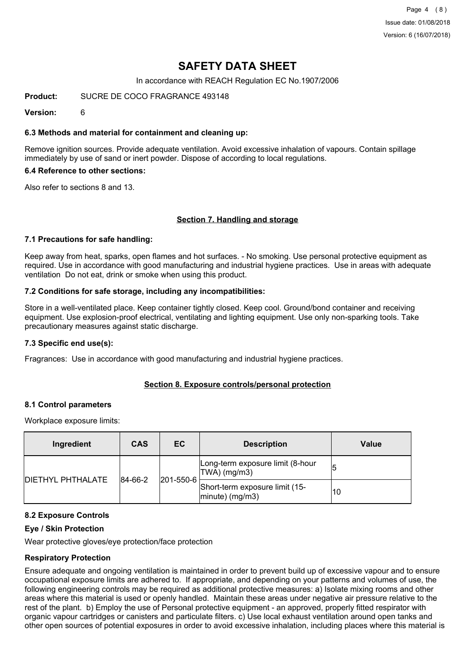Page 4 (8) Issue date: 01/08/2018 Version: 6 (16/07/2018)

# **SAFETY DATA SHEET**

In accordance with REACH Regulation EC No.1907/2006

**Product:** SUCRE DE COCO FRAGRANCE 493148

**Version:** 6

### **6.3 Methods and material for containment and cleaning up:**

Remove ignition sources. Provide adequate ventilation. Avoid excessive inhalation of vapours. Contain spillage immediately by use of sand or inert powder. Dispose of according to local regulations.

### **6.4 Reference to other sections:**

Also refer to sections 8 and 13.

### **Section 7. Handling and storage**

### **7.1 Precautions for safe handling:**

Keep away from heat, sparks, open flames and hot surfaces. - No smoking. Use personal protective equipment as required. Use in accordance with good manufacturing and industrial hygiene practices. Use in areas with adequate ventilation Do not eat, drink or smoke when using this product.

### **7.2 Conditions for safe storage, including any incompatibilities:**

Store in a well-ventilated place. Keep container tightly closed. Keep cool. Ground/bond container and receiving equipment. Use explosion-proof electrical, ventilating and lighting equipment. Use only non-sparking tools. Take precautionary measures against static discharge.

### **7.3 Specific end use(s):**

Fragrances: Use in accordance with good manufacturing and industrial hygiene practices.

### **Section 8. Exposure controls/personal protection**

### **8.1 Control parameters**

Workplace exposure limits:

| Ingredient               | <b>CAS</b>               | EC                                                   | <b>Description</b>                               | Value |
|--------------------------|--------------------------|------------------------------------------------------|--------------------------------------------------|-------|
| <b>DIETHYL PHTHALATE</b> |                          |                                                      | Long-term exposure limit (8-hour<br>TWA) (mg/m3) |       |
|                          | 201-550-6<br>$ 84-66-2 $ | Short-term exposure limit (15-<br>$ minute)$ (mg/m3) | 10                                               |       |

### **8.2 Exposure Controls**

### **Eye / Skin Protection**

Wear protective gloves/eye protection/face protection

### **Respiratory Protection**

Ensure adequate and ongoing ventilation is maintained in order to prevent build up of excessive vapour and to ensure occupational exposure limits are adhered to. If appropriate, and depending on your patterns and volumes of use, the following engineering controls may be required as additional protective measures: a) Isolate mixing rooms and other areas where this material is used or openly handled. Maintain these areas under negative air pressure relative to the rest of the plant. b) Employ the use of Personal protective equipment - an approved, properly fitted respirator with organic vapour cartridges or canisters and particulate filters. c) Use local exhaust ventilation around open tanks and other open sources of potential exposures in order to avoid excessive inhalation, including places where this material is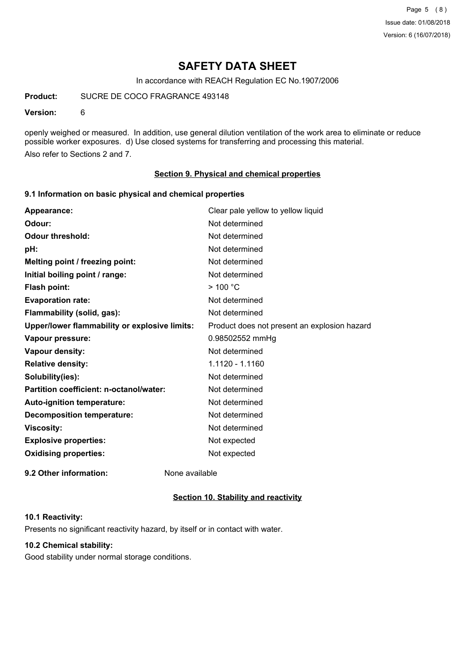Page 5 (8) Issue date: 01/08/2018 Version: 6 (16/07/2018)

# **SAFETY DATA SHEET**

In accordance with REACH Regulation EC No.1907/2006

**Product:** SUCRE DE COCO FRAGRANCE 493148

### **Version:** 6

openly weighed or measured. In addition, use general dilution ventilation of the work area to eliminate or reduce possible worker exposures. d) Use closed systems for transferring and processing this material. Also refer to Sections 2 and 7.

### **Section 9. Physical and chemical properties**

### **9.1 Information on basic physical and chemical properties**

| Appearance:                                   | Clear pale yellow to yellow liquid           |
|-----------------------------------------------|----------------------------------------------|
| Odour:                                        | Not determined                               |
| <b>Odour threshold:</b>                       | Not determined                               |
| pH:                                           | Not determined                               |
| Melting point / freezing point:               | Not determined                               |
| Initial boiling point / range:                | Not determined                               |
| Flash point:                                  | $>$ 100 $^{\circ}$ C                         |
| <b>Evaporation rate:</b>                      | Not determined                               |
| Flammability (solid, gas):                    | Not determined                               |
| Upper/lower flammability or explosive limits: | Product does not present an explosion hazard |
| Vapour pressure:                              | 0.98502552 mmHg                              |
| Vapour density:                               | Not determined                               |
| <b>Relative density:</b>                      | 1.1120 - 1.1160                              |
| Solubility(ies):                              | Not determined                               |
| Partition coefficient: n-octanol/water:       | Not determined                               |
| Auto-ignition temperature:                    | Not determined                               |
| <b>Decomposition temperature:</b>             | Not determined                               |
| <b>Viscosity:</b>                             | Not determined                               |
| <b>Explosive properties:</b>                  | Not expected                                 |
| <b>Oxidising properties:</b>                  | Not expected                                 |
|                                               |                                              |

**9.2 Other information:** None available

### **Section 10. Stability and reactivity**

### **10.1 Reactivity:**

Presents no significant reactivity hazard, by itself or in contact with water.

### **10.2 Chemical stability:**

Good stability under normal storage conditions.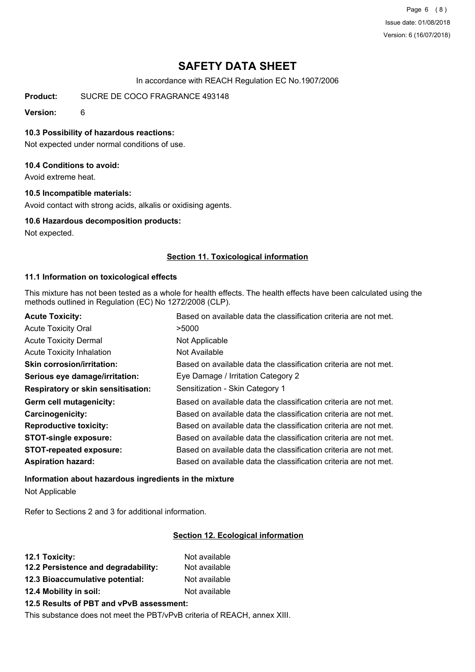Page 6 (8) Issue date: 01/08/2018 Version: 6 (16/07/2018)

# **SAFETY DATA SHEET**

In accordance with REACH Regulation EC No.1907/2006

**Product:** SUCRE DE COCO FRAGRANCE 493148

**Version:** 6

### **10.3 Possibility of hazardous reactions:**

Not expected under normal conditions of use.

### **10.4 Conditions to avoid:**

Avoid extreme heat.

### **10.5 Incompatible materials:**

Avoid contact with strong acids, alkalis or oxidising agents.

### **10.6 Hazardous decomposition products:**

Not expected.

### **Section 11. Toxicological information**

### **11.1 Information on toxicological effects**

This mixture has not been tested as a whole for health effects. The health effects have been calculated using the methods outlined in Regulation (EC) No 1272/2008 (CLP).

| <b>Acute Toxicity:</b>                    | Based on available data the classification criteria are not met. |
|-------------------------------------------|------------------------------------------------------------------|
| <b>Acute Toxicity Oral</b>                | >5000                                                            |
| <b>Acute Toxicity Dermal</b>              | Not Applicable                                                   |
| <b>Acute Toxicity Inhalation</b>          | Not Available                                                    |
| <b>Skin corrosion/irritation:</b>         | Based on available data the classification criteria are not met. |
| Serious eye damage/irritation:            | Eye Damage / Irritation Category 2                               |
| <b>Respiratory or skin sensitisation:</b> | Sensitization - Skin Category 1                                  |
| Germ cell mutagenicity:                   | Based on available data the classification criteria are not met. |
| <b>Carcinogenicity:</b>                   | Based on available data the classification criteria are not met. |
| <b>Reproductive toxicity:</b>             | Based on available data the classification criteria are not met. |
| <b>STOT-single exposure:</b>              | Based on available data the classification criteria are not met. |
| <b>STOT-repeated exposure:</b>            | Based on available data the classification criteria are not met. |
| <b>Aspiration hazard:</b>                 | Based on available data the classification criteria are not met. |

# **Information about hazardous ingredients in the mixture**

Not Applicable

Refer to Sections 2 and 3 for additional information.

### **Section 12. Ecological information**

| 12.1 Toxicity:                           | Not available |  |
|------------------------------------------|---------------|--|
| 12.2 Persistence and degradability:      | Not available |  |
| 12.3 Bioaccumulative potential:          | Not available |  |
| 12.4 Mobility in soil:                   | Not available |  |
| 12.5 Results of PBT and vPvB assessment: |               |  |

This substance does not meet the PBT/vPvB criteria of REACH, annex XIII.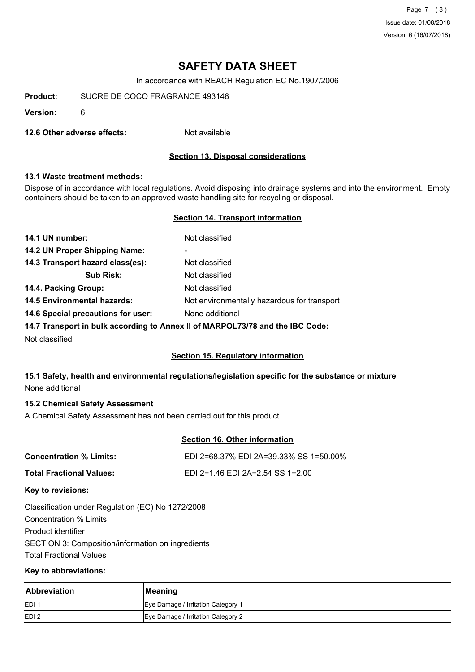Page 7 (8) Issue date: 01/08/2018 Version: 6 (16/07/2018)

# **SAFETY DATA SHEET**

In accordance with REACH Regulation EC No.1907/2006

**Product:** SUCRE DE COCO FRAGRANCE 493148

**Version:** 6

**12.6 Other adverse effects:** Not available

### **Section 13. Disposal considerations**

### **13.1 Waste treatment methods:**

Dispose of in accordance with local regulations. Avoid disposing into drainage systems and into the environment. Empty containers should be taken to an approved waste handling site for recycling or disposal.

### **Section 14. Transport information**

| 14.1 UN number:                    | Not classified                              |
|------------------------------------|---------------------------------------------|
| 14.2 UN Proper Shipping Name:      | -                                           |
| 14.3 Transport hazard class(es):   | Not classified                              |
| <b>Sub Risk:</b>                   | Not classified                              |
| 14.4. Packing Group:               | Not classified                              |
| <b>14.5 Environmental hazards:</b> | Not environmentally hazardous for transport |
| 14.6 Special precautions for user: | None additional                             |
|                                    |                                             |

**14.7 Transport in bulk according to Annex II of MARPOL73/78 and the IBC Code:**

Not classified

### **Section 15. Regulatory information**

### **15.1 Safety, health and environmental regulations/legislation specific for the substance or mixture** None additional

### **15.2 Chemical Safety Assessment**

A Chemical Safety Assessment has not been carried out for this product.

### **Section 16. Other information**

| Concentration % Limits:  | EDI 2=68.37% EDI 2A=39.33% SS 1=50.00% |
|--------------------------|----------------------------------------|
| Total Fractional Values: | EDI 2=1.46 EDI 2A=2.54 SS 1=2.00       |
|                          |                                        |

**Key to revisions:**

Classification under Regulation (EC) No 1272/2008 Concentration % Limits Product identifier SECTION 3: Composition/information on ingredients Total Fractional Values

### **Key to abbreviations:**

| Abbreviation | Meaning                            |  |
|--------------|------------------------------------|--|
| <b>IEDI</b>  | Eye Damage / Irritation Category 1 |  |
| <b>IEDI2</b> | Eye Damage / Irritation Category 2 |  |